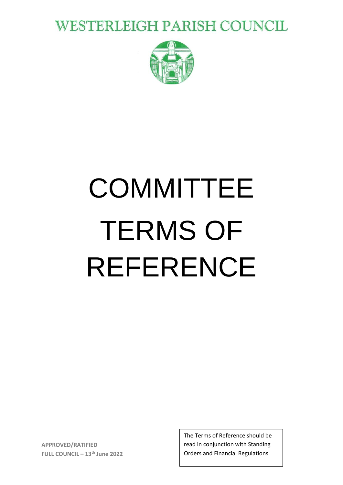**WESTERLEIGH PARISH COUNCIL** 



# **COMMITTEE** TERMS OF REFERENCE

**APPROVED/RATIFIED FULL COUNCIL – 13 th June 2022** The Terms of Reference should be read in conjunction with Standing Orders and Financial Regulations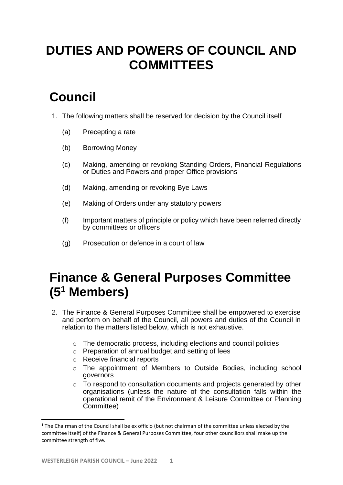# **DUTIES AND POWERS OF COUNCIL AND COMMITTEES**

# **Council**

- 1. The following matters shall be reserved for decision by the Council itself
	- (a) Precepting a rate
	- (b) Borrowing Money
	- (c) Making, amending or revoking Standing Orders, Financial Regulations or Duties and Powers and proper Office provisions
	- (d) Making, amending or revoking Bye Laws
	- (e) Making of Orders under any statutory powers
	- (f) Important matters of principle or policy which have been referred directly by committees or officers
	- (g) Prosecution or defence in a court of law

### **Finance & General Purposes Committee (5<sup>1</sup> Members)**

- 2. The Finance & General Purposes Committee shall be empowered to exercise and perform on behalf of the Council, all powers and duties of the Council in relation to the matters listed below, which is not exhaustive.
	- o The democratic process, including elections and council policies
	- o Preparation of annual budget and setting of fees
	- o Receive financial reports
	- o The appointment of Members to Outside Bodies, including school governors
	- o To respond to consultation documents and projects generated by other organisations (unless the nature of the consultation falls within the operational remit of the Environment & Leisure Committee or Planning Committee)

 $1$  The Chairman of the Council shall be ex officio (but not chairman of the committee unless elected by the committee itself) of the Finance & General Purposes Committee, four other councillors shall make up the committee strength of five.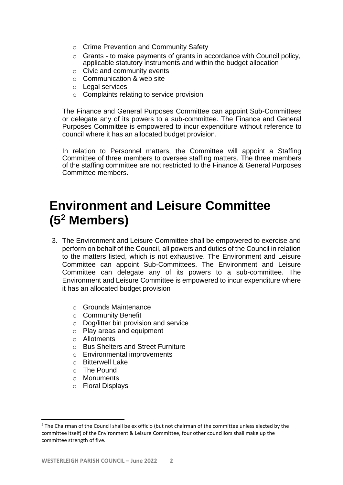- o Crime Prevention and Community Safety
- o Grants to make payments of grants in accordance with Council policy, applicable statutory instruments and within the budget allocation
- o Civic and community events
- o Communication & web site
- o Legal services
- o Complaints relating to service provision

The Finance and General Purposes Committee can appoint Sub-Committees or delegate any of its powers to a sub-committee. The Finance and General Purposes Committee is empowered to incur expenditure without reference to council where it has an allocated budget provision.

In relation to Personnel matters, the Committee will appoint a Staffing Committee of three members to oversee staffing matters. The three members of the staffing committee are not restricted to the Finance & General Purposes Committee members.

#### **Environment and Leisure Committee (5<sup>2</sup> Members)**

- 3. The Environment and Leisure Committee shall be empowered to exercise and perform on behalf of the Council, all powers and duties of the Council in relation to the matters listed, which is not exhaustive. The Environment and Leisure Committee can appoint Sub-Committees. The Environment and Leisure Committee can delegate any of its powers to a sub-committee. The Environment and Leisure Committee is empowered to incur expenditure where it has an allocated budget provision
	- o Grounds Maintenance
	- o Community Benefit
	- o Dog/litter bin provision and service
	- o Play areas and equipment
	- o Allotments
	- o Bus Shelters and Street Furniture
	- o Environmental improvements
	- o Bitterwell Lake
	- o The Pound
	- o Monuments
	- o Floral Displays

<sup>&</sup>lt;sup>2</sup> The Chairman of the Council shall be ex officio (but not chairman of the committee unless elected by the committee itself) of the Environment & Leisure Committee, four other councillors shall make up the committee strength of five.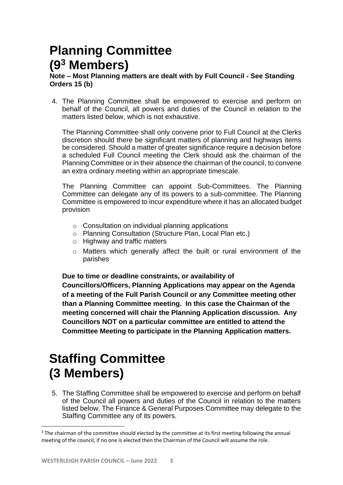# **Planning Committee (9<sup>3</sup> Members)**

#### **Note – Most Planning matters are dealt with by Full Council - See Standing Orders 15 (b)**

4. The Planning Committee shall be empowered to exercise and perform on behalf of the Council, all powers and duties of the Council in relation to the matters listed below, which is not exhaustive.

The Planning Committee shall only convene prior to Full Council at the Clerks discretion should there be significant matters of planning and highways items be considered. Should a matter of greater significance require a decision before a scheduled Full Council meeting the Clerk should ask the chairman of the Planning Committee or in their absence the chairman of the council, to convene an extra ordinary meeting within an appropriate timescale.

The Planning Committee can appoint Sub-Committees. The Planning Committee can delegate any of its powers to a sub-committee. The Planning Committee is empowered to incur expenditure where it has an allocated budget provision

- o Consultation on individual planning applications
- o Planning Consultation (Structure Plan, Local Plan etc.)
- o Highway and traffic matters
- o Matters which generally affect the built or rural environment of the parishes

**Due to time or deadline constraints, or availability of** 

**Councillors/Officers, Planning Applications may appear on the Agenda of a meeting of the Full Parish Council or any Committee meeting other than a Planning Committee meeting. In this case the Chairman of the meeting concerned will chair the Planning Application discussion. Any Councillors NOT on a particular committee are entitled to attend the Committee Meeting to participate in the Planning Application matters.**

# **Staffing Committee (3 Members)**

5. The Staffing Committee shall be empowered to exercise and perform on behalf of the Council all powers and duties of the Council in relation to the matters listed below. The Finance & General Purposes Committee may delegate to the Staffing Committee any of its powers.

<sup>&</sup>lt;sup>3</sup> The chairman of the committee should elected by the committee at its first meeting following the annual meeting of the council, if no one is elected then the Chairman of the Council will assume the role.